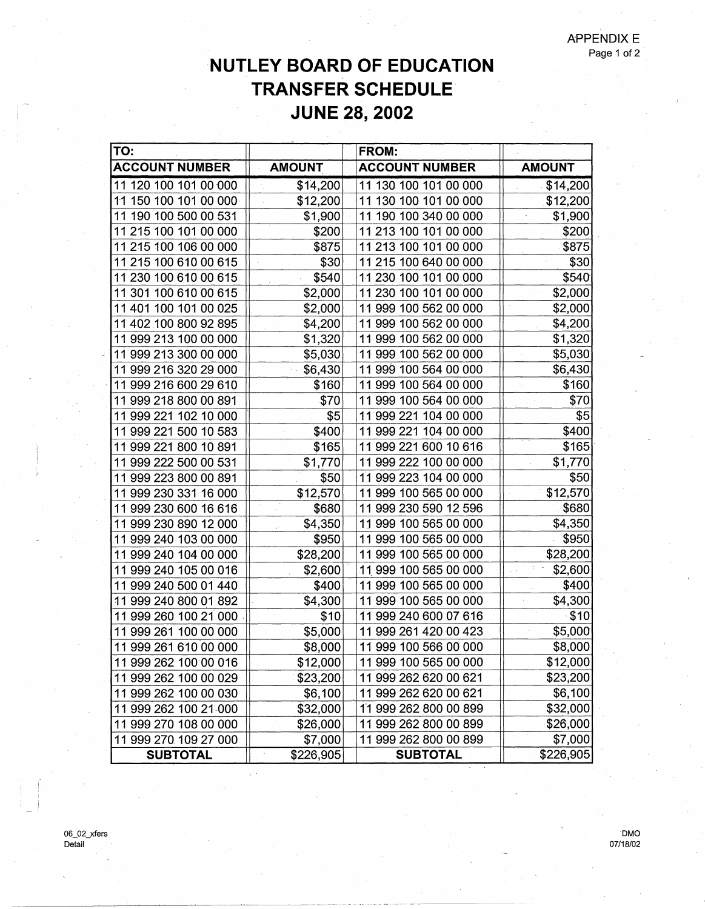## **NUTLEY BOARD OF EDUCATION TRANSFER SCHEDULE JUNE 28, 2002**

| TO:                   |               | FROM:                 |               |
|-----------------------|---------------|-----------------------|---------------|
| <b>ACCOUNT NUMBER</b> | <b>AMOUNT</b> | <b>ACCOUNT NUMBER</b> | <b>AMOUNT</b> |
| 11 120 100 101 00 000 | \$14,200      | 11 130 100 101 00 000 | \$14,200      |
| 11 150 100 101 00 000 | \$12,200      | 11 130 100 101 00 000 | \$12,200      |
| 11 190 100 500 00 531 | \$1,900       | 11 190 100 340 00 000 | \$1,900       |
| 11 215 100 101 00 000 | \$200         | 11 213 100 101 00 000 | \$200         |
| 11 215 100 106 00 000 | \$875         | 11 213 100 101 00 000 | \$875         |
| 11 215 100 610 00 615 | \$30          | 11 215 100 640 00 000 | \$30          |
| 11 230 100 610 00 615 | \$540         | 11 230 100 101 00 000 | \$540         |
| 11 301 100 610 00 615 | \$2,000       | 11 230 100 101 00 000 | \$2,000       |
| 11 401 100 101 00 025 | \$2,000       | 11 999 100 562 00 000 | \$2,000       |
| 11 402 100 800 92 895 | \$4,200       | 11 999 100 562 00 000 | \$4,200       |
| 11 999 213 100 00 000 | \$1,320       | 11 999 100 562 00 000 | \$1,320       |
| 11 999 213 300 00 000 | \$5,030       | 11 999 100 562 00 000 | \$5,030       |
| 11 999 216 320 29 000 | \$6,430       | 11 999 100 564 00 000 | \$6,430       |
| 11 999 216 600 29 610 | \$160         | 11 999 100 564 00 000 | \$160         |
| 11 999 218 800 00 891 | \$70          | 11 999 100 564 00 000 | \$70          |
| 11 999 221 102 10 000 | \$5           | 11 999 221 104 00 000 | \$5           |
| 11 999 221 500 10 583 | \$400         | 11 999 221 104 00 000 | \$400         |
| 11 999 221 800 10 891 | \$165         | 11 999 221 600 10 616 | \$165         |
| 11 999 222 500 00 531 | \$1,770       | 11 999 222 100 00 000 | \$1,770       |
| 11 999 223 800 00 891 | \$50          | 11 999 223 104 00 000 | \$50          |
| 11 999 230 331 16 000 | \$12,570      | 11 999 100 565 00 000 | \$12,570      |
| 11 999 230 600 16 616 | \$680         | 11 999 230 590 12 596 | \$680         |
| 11 999 230 890 12 000 | \$4,350       | 11 999 100 565 00 000 | \$4,350       |
| 11 999 240 103 00 000 | \$950         | 11 999 100 565 00 000 | \$950         |
| 11 999 240 104 00 000 | \$28,200      | 11 999 100 565 00 000 | \$28,200      |
| 11 999 240 105 00 016 | \$2,600       | 11 999 100 565 00 000 | \$2,600       |
| 11 999 240 500 01 440 | \$400         | 11 999 100 565 00 000 | \$400         |
| 11 999 240 800 01 892 | \$4,300       | 11 999 100 565 00 000 | \$4,300       |
| 11 999 260 100 21 000 | \$10          | 11 999 240 600 07 616 | $\cdot$ \$10  |
| 11 999 261 100 00 000 | \$5,000       | 11 999 261 420 00 423 | \$5,000       |
| 11 999 261 610 00 000 | \$8,000       | 11 999 100 566 00 000 | \$8,000       |
| 11 999 262 100 00 016 | \$12,000      | 11 999 100 565 00 000 | \$12,000      |
| 11 999 262 100 00 029 | \$23,200      | 11 999 262 620 00 621 | \$23,200      |
| 11 999 262 100 00 030 | \$6,100       | 11 999 262 620 00 621 | \$6,100       |
| 11 999 262 100 21 000 | \$32,000      | 11 999 262 800 00 899 | \$32,000      |
| 11 999 270 108 00 000 | \$26,000      | 11 999 262 800 00 899 | \$26,000      |
| 11 999 270 109 27 000 | \$7,000       | 11 999 262 800 00 899 | \$7,000       |
| <b>SUBTOTAL</b>       | \$226,905     | <b>SUBTOTAL</b>       | \$226,905     |

 $\mathcal{L}(\mathbf{x})$ 

06\_02\_xfers Detail

**DMO** 07/18/02